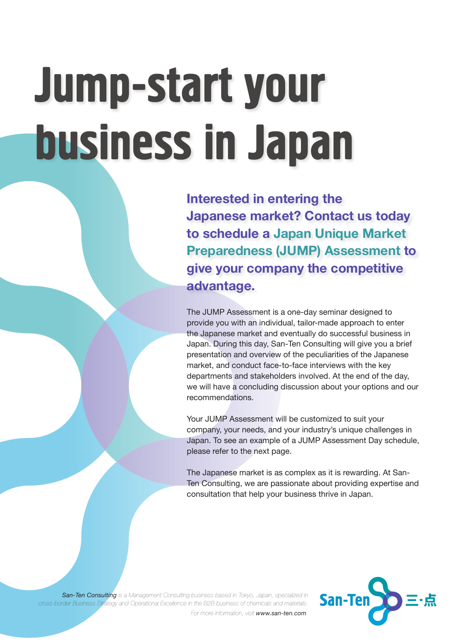## Jump-start your business in Japan

**Interested in entering the Japanese market? Contact us today to schedule a Japan Unique Market Preparedness (JUMP) Assessment to give your company the competitive advantage.** 

The JUMP Assessment is a one-day seminar designed to provide you with an individual, tailor-made approach to enter the Japanese market and eventually do successful business in Japan. During this day, San-Ten Consulting will give you a brief presentation and overview of the peculiarities of the Japanese market, and conduct face-to-face interviews with the key departments and stakeholders involved. At the end of the day, we will have a concluding discussion about your options and our recommendations.

Your JUMP Assessment will be customized to suit your company, your needs, and your industry's unique challenges in Japan. To see an example of a JUMP Assessment Day schedule, please refer to the next page.

The Japanese market is as complex as it is rewarding. At San-Ten Consulting, we are passionate about providing expertise and consultation that help your business thrive in Japan.

*San-Ten Consulting is a Management Consulting business based in Tokyo, Japan, specialized in cross-border Business Strategy and Operational Excellence in the B2B business of chemicals and materials. For more information, visit www.san-ten.com.*